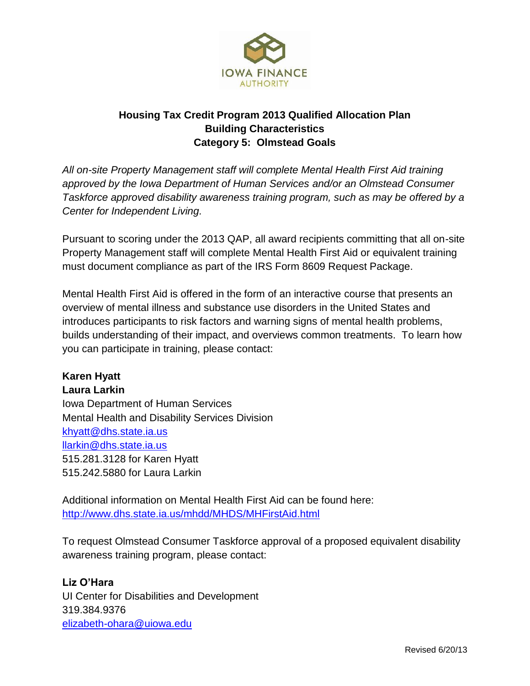

## **Housing Tax Credit Program 2013 Qualified Allocation Plan Building Characteristics Category 5: Olmstead Goals**

*All on-site Property Management staff will complete Mental Health First Aid training approved by the Iowa Department of Human Services and/or an Olmstead Consumer Taskforce approved disability awareness training program, such as may be offered by a Center for Independent Living.*

Pursuant to scoring under the 2013 QAP, all award recipients committing that all on-site Property Management staff will complete Mental Health First Aid or equivalent training must document compliance as part of the IRS Form 8609 Request Package.

Mental Health First Aid is offered in the form of an interactive course that presents an overview of mental illness and substance use disorders in the United States and introduces participants to risk factors and warning signs of mental health problems, builds understanding of their impact, and overviews common treatments. To learn how you can participate in training, please contact:

**Karen Hyatt Laura Larkin** Iowa Department of Human Services Mental Health and Disability Services Division [khyatt@dhs.state.ia.us](mailto:khyatt@dhs.state.ia.us) [llarkin@dhs.state.ia.us](mailto:llarkin@dhs.state.ia.us) 515.281.3128 for Karen Hyatt 515.242.5880 for Laura Larkin

Additional information on Mental Health First Aid can be found here: <http://www.dhs.state.ia.us/mhdd/MHDS/MHFirstAid.html>

To request Olmstead Consumer Taskforce approval of a proposed equivalent disability awareness training program, please contact:

**Liz O'Hara** UI Center for Disabilities and Development 319.384.9376 [elizabeth-ohara@uiowa.edu](mailto:elizabeth-ohara@uiowa.edu)